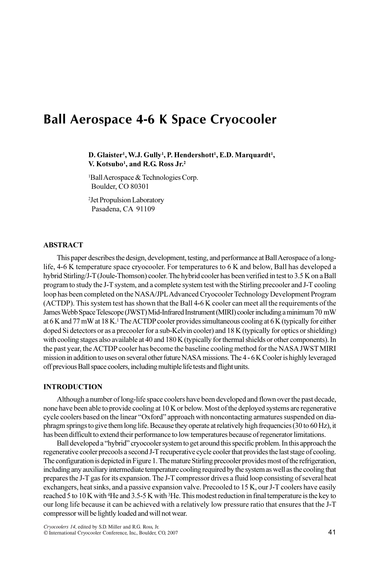# Ball Aerospace 4-6 K Space Cryocooler

D. Glaister<sup>1</sup>, W.J. Gully<sup>1</sup>, P. Hendershott<sup>1</sup>, E.D. Marquardt<sup>1</sup>, V. Kotsubo<sup>1</sup>, and R.G. Ross  $Jr<sup>2</sup>$ 

<sup>1</sup>Ball Aerospace & Technologies Corp. Boulder, CO 80301

<sup>2</sup>Jet Propulsion Laboratory Pasadena, CA 91109

# ABSTRACT

This paper describes the design, development, testing, and performance at Ball Aerospace of a longlife, 4-6 K temperature space cryocooler. For temperatures to 6 K and below, Ball has developed a hybrid Stirling/J-T (Joule-Thomson) cooler. The hybrid cooler has been verified in test to 3.5 K on a Ball program to study the J-T system, and a complete system test with the Stirling precooler and J-T cooling loop has been completed on the NASA/JPL Advanced Cryocooler Technology Development Program (ACTDP). This system test has shown that the Ball 4-6 K cooler can meet all the requirements of the James Webb Space Telescope (JWST) Mid-Infrared Instrument (MIRI) cooler including a minimum 70 mW at 6 K and 77 mW at 18 K.<sup>1</sup> The ACTDP cooler provides simultaneous cooling at 6 K (typically for either doped Si detectors or as a precooler for a sub-Kelvin cooler) and 18 K (typically for optics or shielding) with cooling stages also available at 40 and 180 K (typically for thermal shields or other components). In the past year, the ACTDP cooler has become the baseline cooling method for the NASA JWST MIRI mission in addition to uses on several other future NASA missions. The 4 - 6 K Cooler is highly leveraged off previous Ball space coolers, including multiple life tests and flight units.

## **INTRODUCTION**

Although a number of long-life space coolers have been developed and flown over the past decade, none have been able to provide cooling at 10 K or below. Most of the deployed systems are regenerative cycle coolers based on the linear "Oxford" approach with noncontacting armatures suspended on diaphragm springs to give them long life. Because they operate at relatively high frequencies (30 to 60 Hz), it has been difficult to extend their performance to low temperatures because of regenerator limitations.

Ball developed a "hybrid" cryocooler system to get around this specific problem. In this approach the regenerative cooler precools a second J-T recuperative cycle cooler that provides the last stage of cooling. The configuration is depicted in Figure 1. The mature Stirling precooler provides most of the refrigeration, including any auxiliary intermediate temperature cooling required by the system as well as the cooling that prepares the J-T gas for its expansion. The J-T compressor drives a fluid loop consisting of several heat exchangers, heat sinks, and a passive expansion valve. Precooled to 15 K, our J-T coolers have easily reached 5 to 10 K with <sup>4</sup>He and 3.5-5 K with <sup>3</sup>He. This modest reduction in final temperature is the key to our long life because it can be achieved with a relatively low pressure ratio that ensures that the J-T compressor will be lightly loaded and will not wear.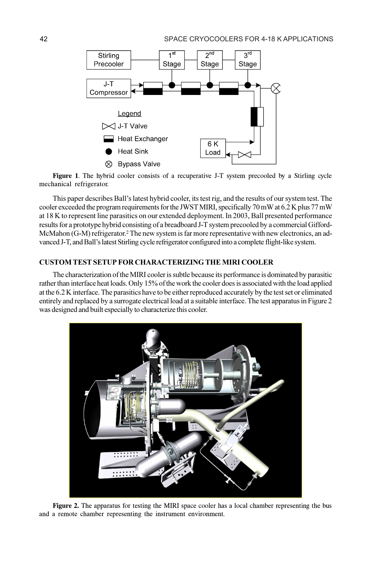

Figure 1. The hybrid cooler consists of a recuperative J-T system precooled by a Stirling cycle mechanical refrigerator.

This paper describes Ball's latest hybrid cooler, its test rig, and the results of our system test. The cooler exceeded the program requirements for the JWST MIRI, specifically 70 mW at 6.2 K plus 77 mW at 18 K to represent line parasitics on our extended deployment. In 2003, Ball presented performance results for a prototype hybrid consisting of a breadboard J-T system precooled by a commercial Gifford-McMahon (G-M) refrigerator.<sup>2</sup> The new system is far more representative with new electronics, an advanced J-T, and Ball's latest Stirling cycle refrigerator configured into a complete flight-like system.

## CUSTOM TEST SETUP FOR CHARACTERIZING THE MIRI COOLER

The characterization of the MIRI cooler is subtle because its performance is dominated by parasitic rather than interface heat loads. Only 15% of the work the cooler does is associated with the load applied at the 6.2 K interface. The parasitics have to be either reproduced accurately by the test set or eliminated entirely and replaced by a surrogate electrical load at a suitable interface. The test apparatus in Figure 2 was designed and built especially to characterize this cooler.



Figure 2. The apparatus for testing the MIRI space cooler has a local chamber representing the bus and a remote chamber representing the instrument environment.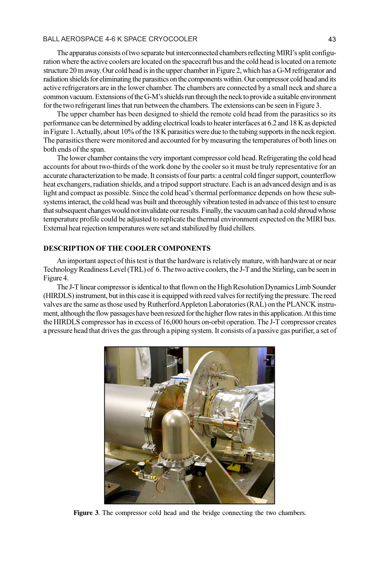#### BALL AEROSPACE 4-6 K SPACE CRYOCOOLER 43

The apparatus consists of two separate but interconnected chambers reflecting MIRI's split configuration where the active coolers are located on the spacecraft bus and the cold head is located on a remote structure 20 m away. Our cold head is in the upper chamber in Figure 2, which has a G-M refrigerator and radiation shields for eliminating the parasitics on the components within. Our compressor cold head and its active refrigerators are in the lower chamber. The chambers are connected by a small neck and share a common vacuum. Extensions of the G-M's shields run through the neck to provide a suitable environment for the two refrigerant lines that run between the chambers. The extensions can be seen in Figure 3.

The upper chamber has been designed to shield the remote cold head from the parasitics so its performance can be determined by adding electrical loads to heater interfaces at 6.2 and 18 K as depicted in Figure 1. Actually, about 10% of the 18 K parasitics were due to the tubing supports in the neck region. The parasitics there were monitored and accounted for by measuring the temperatures of both lines on both ends of the span.

The lower chamber contains the very important compressor cold head. Refrigerating the cold head accounts for about two-thirds of the work done by the cooler so it must be truly representative for an accurate characterization to be made. It consists of four parts: a central cold finger support, counterflow heat exchangers, radiation shields, and a tripod support structure. Each is an advanced design and is as light and compact as possible. Since the cold head's thermal performance depends on how these subsystems interact, the cold head was built and thoroughly vibration tested in advance of this test to ensure that subsequent changes would not invalidate our results. Finally, the vacuum can had a cold shroud whose temperature profile could be adjusted to replicate the thermal environment expected on the MIRI bus. External heat rejection temperatures were set and stabilized by fluid chillers.

## DESCRIPTION OF THE COOLER COMPONENTS

An important aspect of this test is that the hardware is relatively mature, with hardware at or near Technology Readiness Level (TRL) of 6. The two active coolers, the J-T and the Stirling, can be seen in Figure 4.

The J-T linear compressor is identical to that flown on the High Resolution Dynamics Limb Sounder (HIRDLS) instrument, but in this case it is equipped with reed valves for rectifying the pressure. The reed valves are the same as those used by Rutherford Appleton Laboratories (RAL) on the PLANCK instrument, although the flow passages have been resized for the higher flow rates in this application. At this time the HIRDLS compressor has in excess of 16,000 hours on-orbit operation. The J-T compressor creates a pressure head that drives the gas through a piping system. It consists of a passive gas purifier, a set of



Figure 3. The compressor cold head and the bridge connecting the two chambers.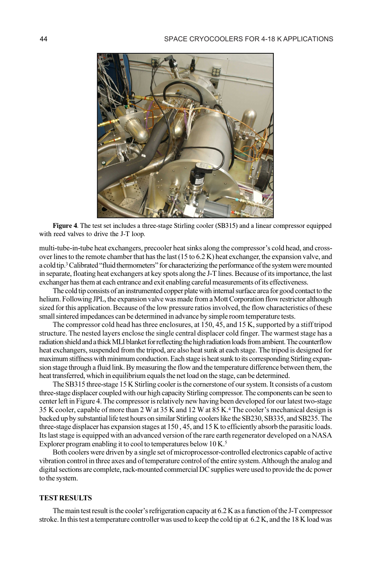

Figure 4. The test set includes a three-stage Stirling cooler (SB315) and a linear compressor equipped with reed valves to drive the J-T loop.

multi-tube-in-tube heat exchangers, precooler heat sinks along the compressor's cold head, and crossover lines to the remote chamber that has the last (15 to 6.2 K) heat exchanger, the expansion valve, and a cold tip.<sup>3</sup> Calibrated "fluid thermometers" for characterizing the performance of the system were mounted in separate, floating heat exchangers at key spots along the J-T lines. Because of its importance, the last exchanger has them at each entrance and exit enabling careful measurements of its effectiveness.

The cold tip consists of an instrumented copper plate with internal surface area for good contact to the helium. Following JPL, the expansion valve was made from a Mott Corporation flow restrictor although sized for this application. Because of the low pressure ratios involved, the flow characteristics of these small sintered impedances can be determined in advance by simple room temperature tests.

The compressor cold head has three enclosures, at 150, 45, and 15 K, supported by a stiff tripod structure. The nested layers enclose the single central displacer cold finger. The warmest stage has a radiation shield and a thick MLI blanket for reflecting the high radiation loads from ambient. The counterflow heat exchangers, suspended from the tripod, are also heat sunk at each stage. The tripod is designed for maximum stiffness with minimum conduction. Each stage is heat sunk to its corresponding Stirling expansion stage through a fluid link. By measuring the flow and the temperature difference between them, the heat transferred, which in equilibrium equals the net load on the stage, can be determined.

The SB315 three-stage 15 K Stirling cooler is the cornerstone of our system. It consists of a custom three-stage displacer coupled with our high capacity Stirling compressor. The components can be seen to center left in Figure 4. The compressor is relatively new having been developed for our latest two-stage 35 K cooler, capable of more than 2 W at 35 K and 12 W at 85 K.<sup>4</sup> The cooler's mechanical design is backed up by substantial life test hours on similar Stirling coolers like the SB230, SB335, and SB235. The three-stage displacer has expansion stages at 150 , 45, and 15 K to efficiently absorb the parasitic loads. Its last stage is equipped with an advanced version of the rare earth regenerator developed on a NASA Explorer program enabling it to cool to temperatures below 10 K.<sup>5</sup>

Both coolers were driven by a single set of microprocessor-controlled electronics capable of active vibration control in three axes and of temperature control of the entire system. Although the analog and digital sections are complete, rack-mounted commercial DC supplies were used to provide the dc power to the system.

## TEST RESULTS

The main test result is the cooler's refrigeration capacity at 6.2 K as a function of the J-T compressor stroke. In this test a temperature controller was used to keep the cold tip at 6.2 K, and the 18 K load was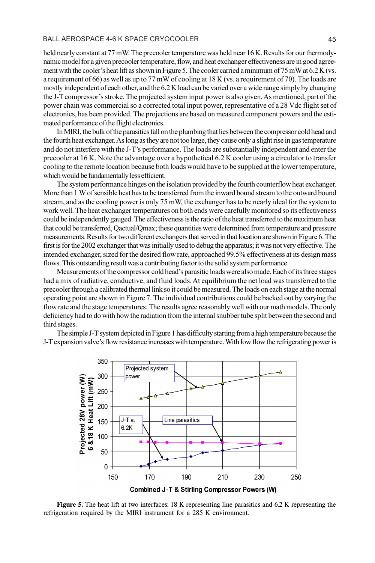#### BALL AEROSPACE 4-6 K SPACE CRYOCOOLER 45

held nearly constant at 77 mW. The precooler temperature was held near 16 K. Results for our thermodynamic model for a given precooler temperature, flow, and heat exchanger effectiveness are in good agreement with the cooler's heat lift as shown in Figure 5. The cooler carried a minimum of 75 mW at 6.2 K (vs. a requirement of 66) as well as up to 77 mW of cooling at 18 K (vs. a requirement of 70). The loads are mostly independent of each other, and the 6.2 K load can be varied over a wide range simply by changing the J-T compressor's stroke. The projected system input power is also given. As mentioned, part of the power chain was commercial so a corrected total input power, representative of a 28 Vdc flight set of electronics, has been provided. The projections are based on measured component powers and the estimated performance of the flight electronics.

In MIRI, the bulk of the parasitics fall on the plumbing that lies between the compressor cold head and the fourth heat exchanger. As long as they are not too large, they cause only a slight rise in gas temperature and do not interfere with the J-T's performance. The loads are substantially independent and enter the precooler at 16 K. Note the advantage over a hypothetical 6.2 K cooler using a circulator to transfer cooling to the remote location because both loads would have to be supplied at the lower temperature, which would be fundamentally less efficient.

The system performance hinges on the isolation provided by the fourth counterflow heat exchanger. More than 1 W of sensible heat has to be transferred from the inward bound stream to the outward bound stream, and as the cooling power is only 75 mW, the exchanger has to be nearly ideal for the system to work well. The heat exchanger temperatures on both ends were carefully monitored so its effectiveness could be independently gauged. The effectiveness is the ratio of the heat transferred to the maximum heat that could be transferred, Qactual/Qmax; these quantities were determined from temperature and pressure measurements. Results for two different exchangers that served in that location are shown in Figure 6. The first is for the 2002 exchanger that was initially used to debug the apparatus; it was not very effective. The intended exchanger, sized for the desired flow rate, approached 99.5% effectiveness at its design mass flows. This outstanding result was a contributing factor to the solid system performance.

Measurements of the compressor cold head's parasitic loads were also made. Each of its three stages had a mix of radiative, conductive, and fluid loads. At equilibrium the net load was transferred to the precooler through a calibrated thermal link so it could be measured. The loads on each stage at the normal operating point are shown in Figure 7. The individual contributions could be backed out by varying the flow rate and the stage temperatures. The results agree reasonably well with our math models. The only deficiency had to do with how the radiation from the internal snubber tube split between the second and third stages.

The simple J-T system depicted in Figure 1 has difficulty starting from a high temperature because the J-T expansion valve's flow resistance increases with temperature. With low flow the refrigerating power is



Figure 5. The heat lift at two interfaces: 18 K representing line parasitics and 6.2 K representing the refrigeration required by the MIRI instrument for a 285 K environment.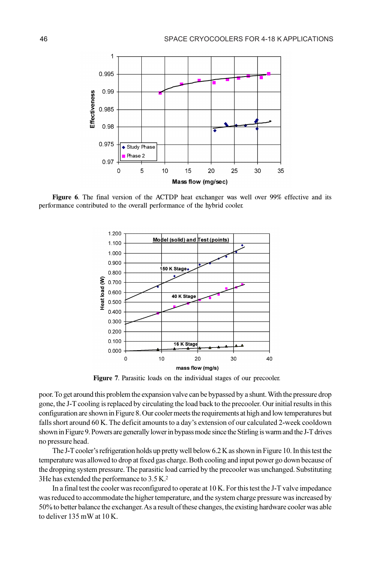

Figure 6. The final version of the ACTDP heat exchanger was well over 99% effective and its performance contributed to the overall performance of the hybrid cooler.



Figure 7. Parasitic loads on the individual stages of our precooler.

poor. To get around this problem the expansion valve can be bypassed by a shunt. With the pressure drop gone, the J-T cooling is replaced by circulating the load back to the precooler. Our initial results in this configuration are shown in Figure 8. Our cooler meets the requirements at high and low temperatures but falls short around 60 K. The deficit amounts to a day's extension of our calculated 2-week cooldown shown in Figure 9. Powers are generally lower in bypass mode since the Stirling is warm and the J-T drives no pressure head.

The J-T cooler's refrigeration holds up pretty well below 6.2 K as shown in Figure 10. In this test the temperature was allowed to drop at fixed gas charge. Both cooling and input power go down because of the dropping system pressure. The parasitic load carried by the precooler was unchanged. Substituting 3He has extended the performance to 3.5 K.<sup>2</sup>

In a final test the cooler was reconfigured to operate at 10 K. For this test the J-T valve impedance was reduced to accommodate the higher temperature, and the system charge pressure was increased by 50% to better balance the exchanger. As a result of these changes, the existing hardware cooler was able to deliver 135 mW at 10 K.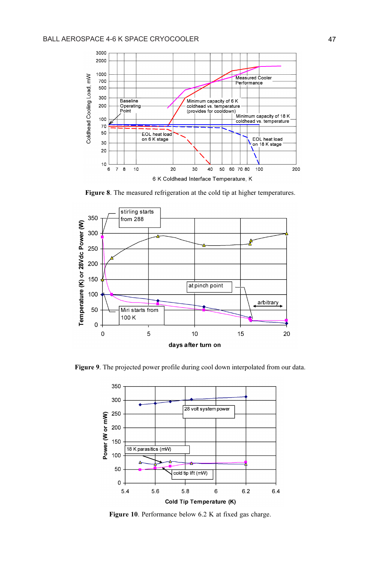

Figure 8. The measured refrigeration at the cold tip at higher temperatures.



Figure 9. The projected power profile during cool down interpolated from our data.



Figure 10. Performance below 6.2 K at fixed gas charge.